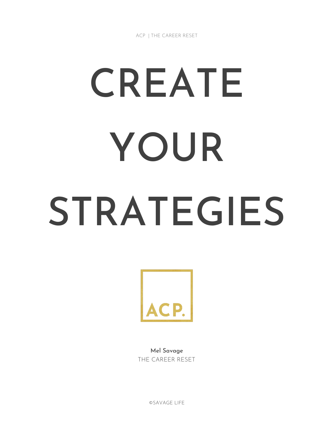ACP | THE CAREER RESET

# CREATE YOUR STRATEGIES



Mel Savage THE CAREER RESET

©SAVAGE LIFE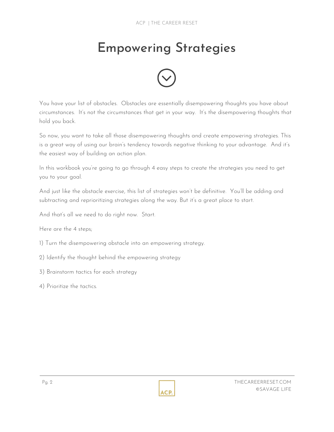## Empowering Strategies



You have your list of obstacles. Obstacles are essentially disempowering thoughts you have about circumstances. It's not the circumstances that get in your way. It's the disempowering thoughts that hold you back.

So now, you want to take all those disempowering thoughts and create empowering strategies. This is a great way of using our brain's tendency towards negative thinking to your advantage. And it's the easiest way of building an action plan.

In this workbook you're going to go through 4 easy steps to create the strategies you need to get you to your goal.

And just like the obstacle exercise, this list of strategies won't be definitive. You'll be adding and subtracting and reprioritizing strategies along the way. But it's a great place to start.

And that's all we need to do right now. Start.

Here are the 4 steps;

- 1) Turn the disempowering obstacle into an empowering strategy.
- 2) Identify the thought behind the empowering strategy
- 3) Brainstorm tactics for each strategy
- 4) Prioritize the tactics.

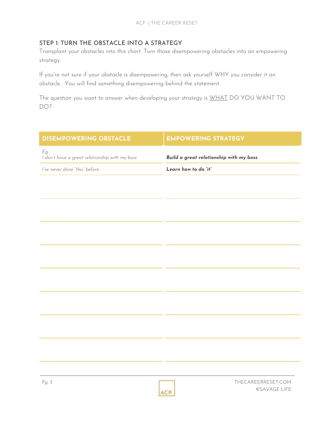#### STEP 1: TURN THE OBSTACLE INTO A STRATEGY

Transplant your obstacles into this chart. Turn those disempowering obstacles into an empowering strategy.

If you're not sure if your obstacle is disempowering, then ask yourself WHY you consider it an obstacle. You will find something disempowering behind the statement.

The question you want to answer when developing your strategy is WHAT DO YOU WANT TO DO?

| <b>DISEMPOWERING OBSTACLE</b>                         | <b>EMPOWERING STRATEGY</b>              |
|-------------------------------------------------------|-----------------------------------------|
| Eg:<br>I don't have a great relationship with my boss | Build a great relationship with my boss |
| I've never done "this" before                         | Learn how to do "it"                    |
|                                                       |                                         |
|                                                       |                                         |
|                                                       |                                         |
|                                                       |                                         |
|                                                       |                                         |
|                                                       |                                         |
|                                                       |                                         |
|                                                       |                                         |
|                                                       |                                         |
|                                                       |                                         |
|                                                       |                                         |
|                                                       |                                         |
|                                                       |                                         |
|                                                       |                                         |
|                                                       |                                         |
|                                                       |                                         |
| Pg. 3                                                 | THECAREERRESET.COM<br>©SAVAGE LIFE      |
|                                                       | ACP.                                    |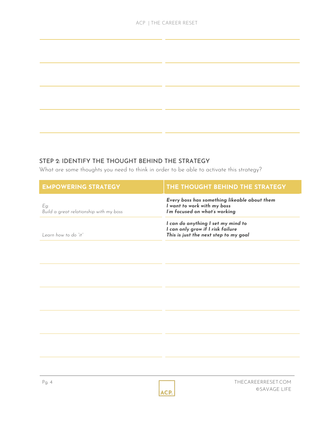### STEP 2: IDENTIFY THE THOUGHT BEHIND THE STRATEGY

What are some thoughts you need to think in order to be able to activate this strategy?

| <b>EMPOWERING STRATEGY</b>                        | <b>THE THOUGHT BEHIND THE STRATEGY</b>                                                                           |
|---------------------------------------------------|------------------------------------------------------------------------------------------------------------------|
| $Eg$ :<br>Build a great relationship with my boss | Every boss has something likeable about them<br>I want to work with my boss<br>I'm focused on what's working     |
| Learn how to do "it"                              | I can do anything I set my mind to<br>I can only grow if I risk failure<br>This is just the next step to my goal |
|                                                   |                                                                                                                  |

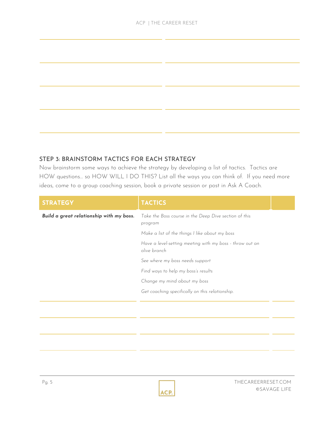#### STEP 3: BRAINSTORM TACTICS FOR EACH STRATEGY

Now brainstorm some ways to achieve the strategy by developing a list of tactics. Tactics are HOW questions… so HOW WILL I DO THIS? List all the ways you can think of. If you need more ideas, come to a group coaching session, book a private session or post in Ask A Coach.

| <b>STRATEGY</b>                          | <b>TACTICS</b>                                                           |  |
|------------------------------------------|--------------------------------------------------------------------------|--|
| Build a great relationship with my boss. | Take the Boss course in the Deep Dive section of this<br>program         |  |
|                                          | Make a list of the things I like about my boss                           |  |
|                                          | Have a level-setting meeting with my boss - throw out an<br>olive branch |  |
|                                          | See where my boss needs support                                          |  |
|                                          | Find ways to help my boss's results                                      |  |
|                                          | Change my mind about my boss                                             |  |
|                                          | Get coaching specifically on this relationship.                          |  |
|                                          |                                                                          |  |
|                                          |                                                                          |  |
|                                          |                                                                          |  |

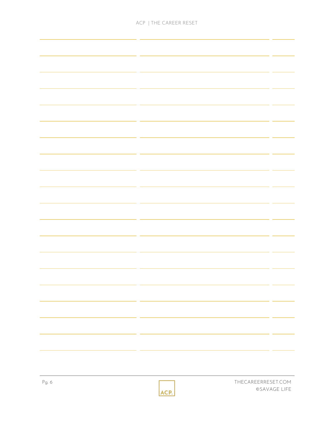|                                                                                                                       | $\sim$                                                |
|-----------------------------------------------------------------------------------------------------------------------|-------------------------------------------------------|
|                                                                                                                       |                                                       |
|                                                                                                                       |                                                       |
|                                                                                                                       | $\sim$                                                |
|                                                                                                                       |                                                       |
|                                                                                                                       |                                                       |
|                                                                                                                       |                                                       |
|                                                                                                                       |                                                       |
|                                                                                                                       |                                                       |
|                                                                                                                       |                                                       |
|                                                                                                                       |                                                       |
|                                                                                                                       |                                                       |
|                                                                                                                       |                                                       |
|                                                                                                                       |                                                       |
|                                                                                                                       |                                                       |
|                                                                                                                       |                                                       |
| <u> 1980 - Andrea Station Andrea Station (1980), actor (1980), actor (1980), actor (1980), actor (1980), actor (1</u> | - -                                                   |
|                                                                                                                       | $\overline{\phantom{a}}$ and $\overline{\phantom{a}}$ |
|                                                                                                                       |                                                       |
| and the contract of the contract of the contract of the contract of the contract of the contract of the contract of   | ___                                                   |
|                                                                                                                       | _______________                                       |
|                                                                                                                       |                                                       |

ACP | THE CAREER RESET